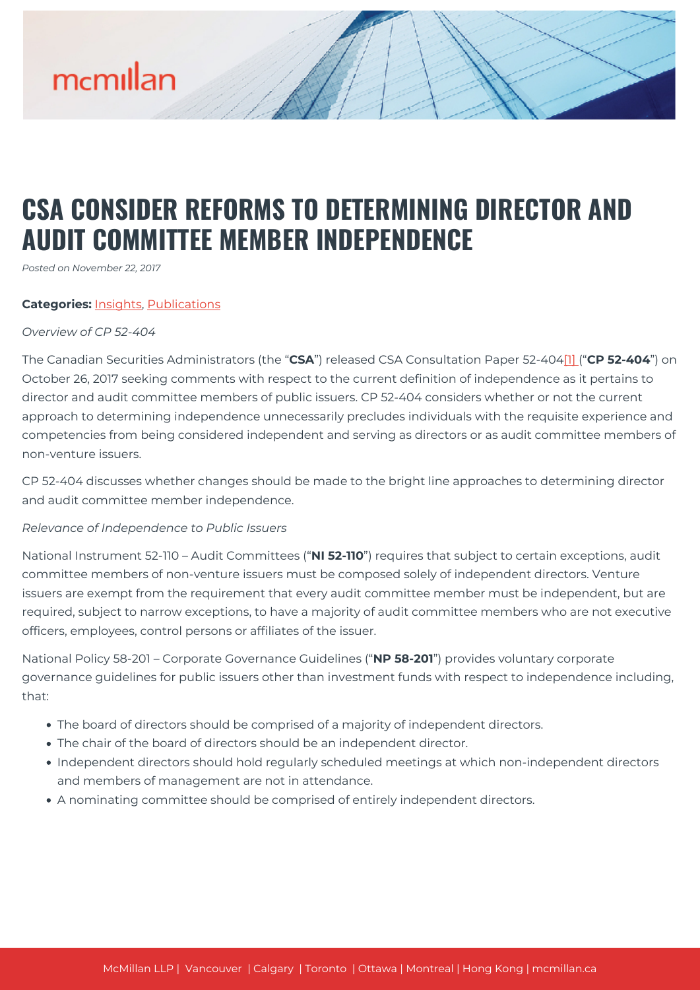# mcmillan

# **CSA CONSIDER REFORMS TO DETERMINING DIRECTOR AND AUDIT COMMITTEE MEMBER INDEPENDENCE**

*Posted on November 22, 2017*

# **Categories:** [Insights,](https://mcmillan.ca/insights/) [Publications](https://mcmillan.ca/insights/publications/)

# *Overview of CP 52-404*

The Canadian Securities Administrators (the "**CSA**") released CSA Consultation Paper 52-404[\[1\]](#page--1-0) ("**CP 52-404**") on October 26, 2017 seeking comments with respect to the current definition of independence as it pertains to director and audit committee members of public issuers. CP 52-404 considers whether or not the current approach to determining independence unnecessarily precludes individuals with the requisite experience and competencies from being considered independent and serving as directors or as audit committee members of non-venture issuers.

CP 52-404 discusses whether changes should be made to the bright line approaches to determining director and audit committee member independence.

# *Relevance of Independence to Public Issuers*

National Instrument 52-110 – Audit Committees ("**NI 52-110**") requires that subject to certain exceptions, audit committee members of non-venture issuers must be composed solely of independent directors. Venture issuers are exempt from the requirement that every audit committee member must be independent, but are required, subject to narrow exceptions, to have a majority of audit committee members who are not executive officers, employees, control persons or affiliates of the issuer.

National Policy 58-201 – Corporate Governance Guidelines ("**NP 58-201**") provides voluntary corporate governance guidelines for public issuers other than investment funds with respect to independence including, that:

- The board of directors should be comprised of a majority of independent directors.
- The chair of the board of directors should be an independent director.
- Independent directors should hold regularly scheduled meetings at which non-independent directors and members of management are not in attendance.
- A nominating committee should be comprised of entirely independent directors.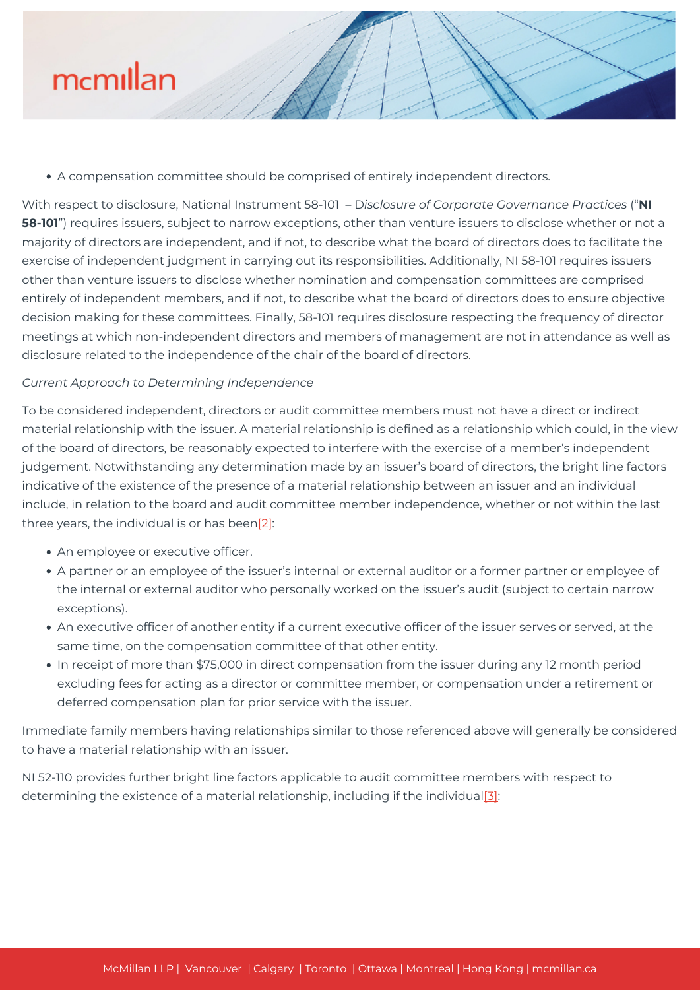

A compensation committee should be comprised of entirely independent directors.

With respect to disclosure, National Instrument 58-101 – D*isclosure of Corporate Governance Practices* ("**NI 58-101**") requires issuers, subject to narrow exceptions, other than venture issuers to disclose whether or not a majority of directors are independent, and if not, to describe what the board of directors does to facilitate the exercise of independent judgment in carrying out its responsibilities. Additionally, NI 58-101 requires issuers other than venture issuers to disclose whether nomination and compensation committees are comprised entirely of independent members, and if not, to describe what the board of directors does to ensure objective decision making for these committees. Finally, 58-101 requires disclosure respecting the frequency of director meetings at which non-independent directors and members of management are not in attendance as well as disclosure related to the independence of the chair of the board of directors.

# *Current Approach to Determining Independence*

To be considered independent, directors or audit committee members must not have a direct or indirect material relationship with the issuer. A material relationship is defined as a relationship which could, in the view of the board of directors, be reasonably expected to interfere with the exercise of a member's independent judgement. Notwithstanding any determination made by an issuer's board of directors, the bright line factors indicative of the existence of the presence of a material relationship between an issuer and an individual include, in relation to the board and audit committee member independence, whether or not within the last three years, the individual is or has bee[n\[2\]](#page--1-0):

- An employee or executive officer.
- A partner or an employee of the issuer's internal or external auditor or a former partner or employee of the internal or external auditor who personally worked on the issuer's audit (subject to certain narrow exceptions).
- An executive officer of another entity if a current executive officer of the issuer serves or served, at the same time, on the compensation committee of that other entity.
- In receipt of more than \$75,000 in direct compensation from the issuer during any 12 month period excluding fees for acting as a director or committee member, or compensation under a retirement or deferred compensation plan for prior service with the issuer.

Immediate family members having relationships similar to those referenced above will generally be considered to have a material relationship with an issuer.

NI 52-110 provides further bright line factors applicable to audit committee members with respect to determining the existence of a material relationship, including if the individua[l\[3\]](#page--1-0):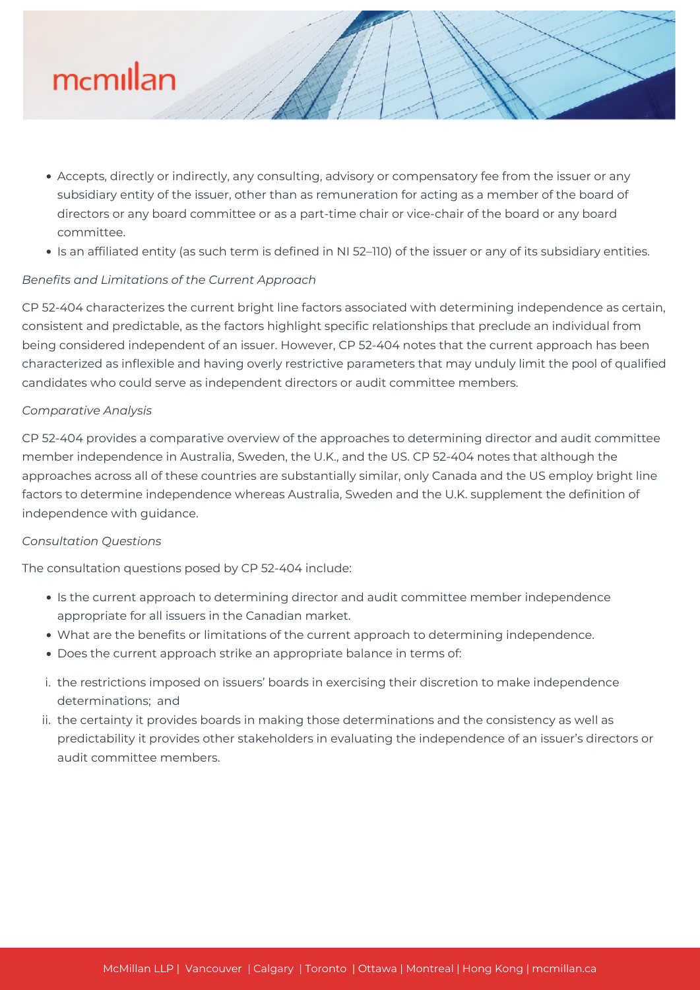

- Accepts, directly or indirectly, any consulting, advisory or compensatory fee from the issuer or any subsidiary entity of the issuer, other than as remuneration for acting as a member of the board of directors or any board committee or as a part-time chair or vice-chair of the board or any board committee.
- Is an affiliated entity (as such term is defined in NI 52–110) of the issuer or any of its subsidiary entities.

# *Benefits and Limitations of the Current Approach*

CP 52-404 characterizes the current bright line factors associated with determining independence as certain, consistent and predictable, as the factors highlight specific relationships that preclude an individual from being considered independent of an issuer. However, CP 52-404 notes that the current approach has been characterized as inflexible and having overly restrictive parameters that may unduly limit the pool of qualified candidates who could serve as independent directors or audit committee members.

# *Comparative Analysis*

CP 52-404 provides a comparative overview of the approaches to determining director and audit committee member independence in Australia, Sweden, the U.K., and the US. CP 52-404 notes that although the approaches across all of these countries are substantially similar, only Canada and the US employ bright line factors to determine independence whereas Australia, Sweden and the U.K. supplement the definition of independence with guidance.

# *Consultation Questions*

The consultation questions posed by CP 52-404 include:

- Is the current approach to determining director and audit committee member independence appropriate for all issuers in the Canadian market.
- What are the benefits or limitations of the current approach to determining independence.
- Does the current approach strike an appropriate balance in terms of:
- i. the restrictions imposed on issuers' boards in exercising their discretion to make independence determinations; and
- ii. the certainty it provides boards in making those determinations and the consistency as well as predictability it provides other stakeholders in evaluating the independence of an issuer's directors or audit committee members.